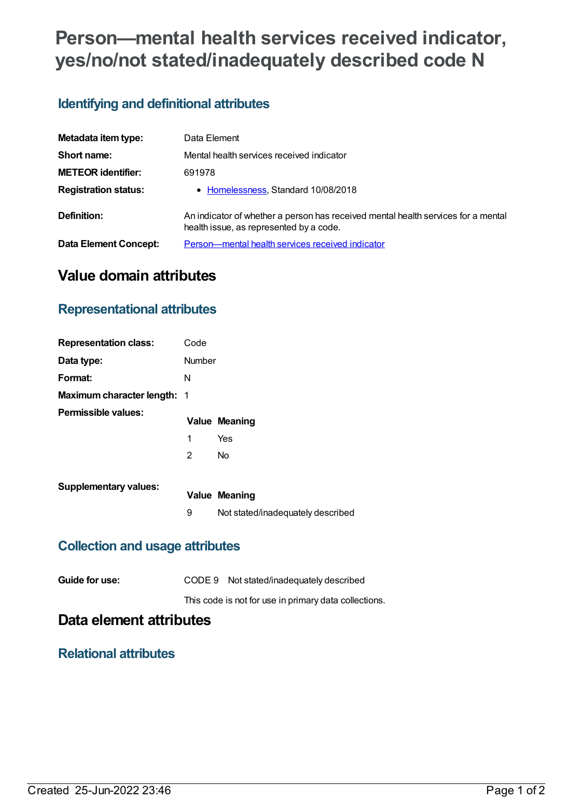# **Person—mental health services received indicator, yes/no/not stated/inadequately described code N**

### **Identifying and definitional attributes**

| Metadata item type:         | Data Element                                                                                                                 |
|-----------------------------|------------------------------------------------------------------------------------------------------------------------------|
| Short name:                 | Mental health services received indicator                                                                                    |
| <b>METEOR identifier:</b>   | 691978                                                                                                                       |
| <b>Registration status:</b> | • Homelessness, Standard 10/08/2018                                                                                          |
| Definition:                 | An indicator of whether a person has received mental health services for a mental<br>health issue, as represented by a code. |
| Data Element Concept:       | Person—mental health services received indicator                                                                             |

# **Value domain attributes**

#### **Representational attributes**

| <b>Representation class:</b>       | Code   |                      |
|------------------------------------|--------|----------------------|
| Data type:                         | Number |                      |
| Format:                            | N      |                      |
| <b>Maximum character length: 1</b> |        |                      |
| Permissible values:                |        |                      |
|                                    |        | <b>Value Meaning</b> |
|                                    | 1      | Yes                  |
|                                    | 2      | No                   |

| <b>DINAI Y VAINGO.</b> | <b>Value Meaning</b>              |
|------------------------|-----------------------------------|
|                        | Not stated/inadequately described |

#### **Collection and usage attributes**

| Guide for use: | CODE 9 Not stated/inadequately described              |
|----------------|-------------------------------------------------------|
|                | This code is not for use in primary data collections. |

## **Data element attributes**

#### **Relational attributes**